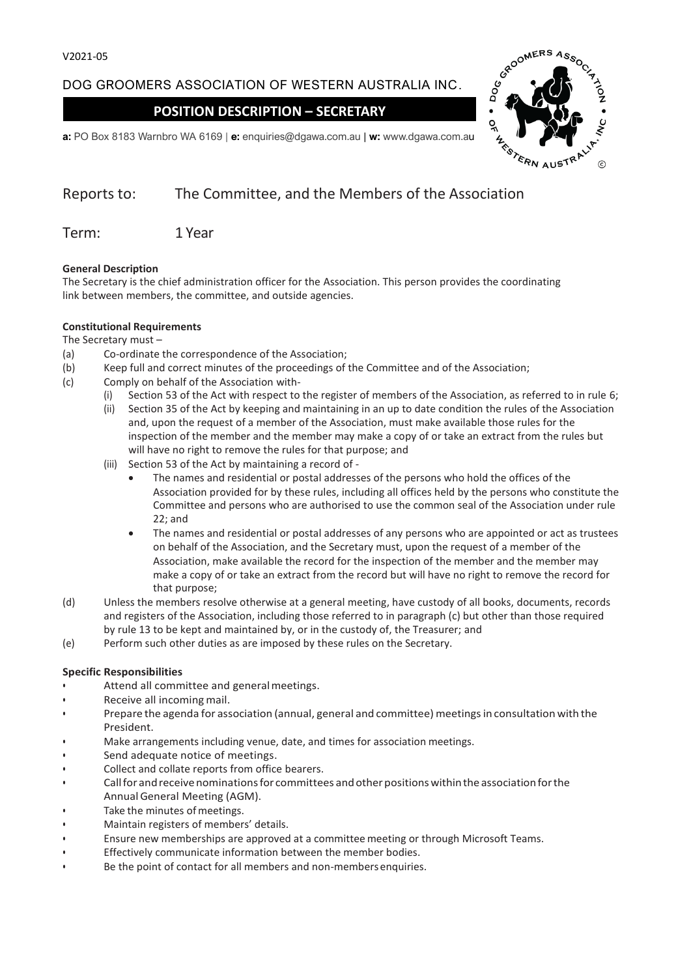## DOG GROOMERS ASSOCIATION OF WESTERN AUSTRALIA INC.

## **POSITION DESCRIPTION – SECRETARY**



# Reports to: The Committee, and the Members of the Association

Term: 1 Year

#### **General Description**

The Secretary is the chief administration officer for the Association. This person provides the coordinating link between members, the committee, and outside agencies.

#### **Constitutional Requirements**

#### The Secretary must –

- (a) Co-ordinate the correspondence of the Association;
- (b) Keep full and correct minutes of the proceedings of the Committee and of the Association;
- (c) Comply on behalf of the Association with-
	- (i) Section 53 of the Act with respect to the register of members of the Association, as referred to in rule 6;
		- (ii) Section 35 of the Act by keeping and maintaining in an up to date condition the rules of the Association and, upon the request of a member of the Association, must make available those rules for the inspection of the member and the member may make a copy of or take an extract from the rules but will have no right to remove the rules for that purpose; and
		- (iii) Section 53 of the Act by maintaining a record of
			- The names and residential or postal addresses of the persons who hold the offices of the Association provided for by these rules, including all offices held by the persons who constitute the Committee and persons who are authorised to use the common seal of the Association under rule 22; and
			- The names and residential or postal addresses of any persons who are appointed or act as trustees on behalf of the Association, and the Secretary must, upon the request of a member of the Association, make available the record for the inspection of the member and the member may make a copy of or take an extract from the record but will have no right to remove the record for that purpose;
- (d) Unless the members resolve otherwise at a general meeting, have custody of all books, documents, records and registers of the Association, including those referred to in paragraph (c) but other than those required by rule 13 to be kept and maintained by, or in the custody of, the Treasurer; and
- (e) Perform such other duties as are imposed by these rules on the Secretary.

#### **Specific Responsibilities**

- Attend all committee and general meetings.
- Receive all incoming mail.
- Prepare the agenda for association (annual, general and committee) meetings in consultation with the President.
- Make arrangements including venue, date, and times for association meetings.
- Send adequate notice of meetings.
- Collect and collate reports from office bearers.
- Callfor andreceivenominationsfor committees andotherpositionswithinthe associationforthe AnnualGeneral Meeting (AGM).
- Take the minutes of meetings.
- Maintain registers of members' details.
- Ensure new memberships are approved at a committee meeting or through Microsoft Teams.
- Effectively communicate information between the member bodies.
- Be the point of contact for all members and non-members enquiries.